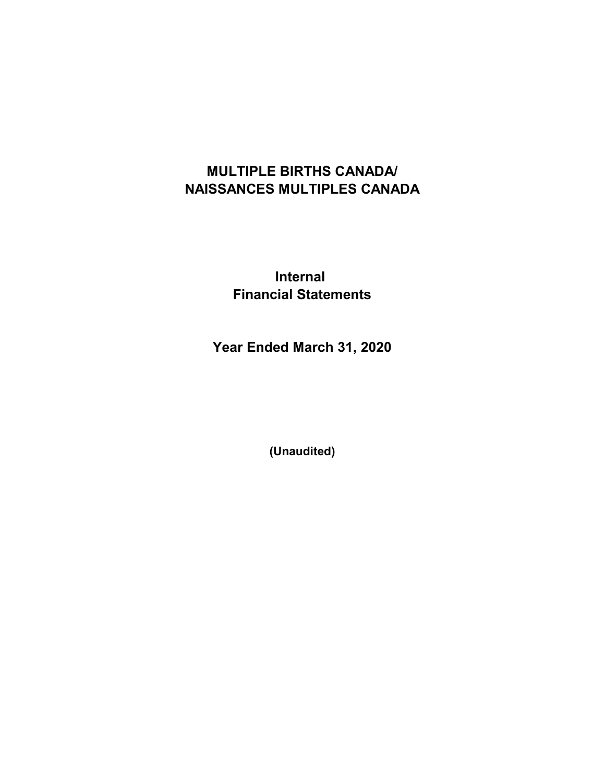# MULTIPLE BIRTHS CANADA/ NAISSANCES MULTIPLES CANADA

### Internal Financial Statements

Year Ended March 31, 2020

(Unaudited)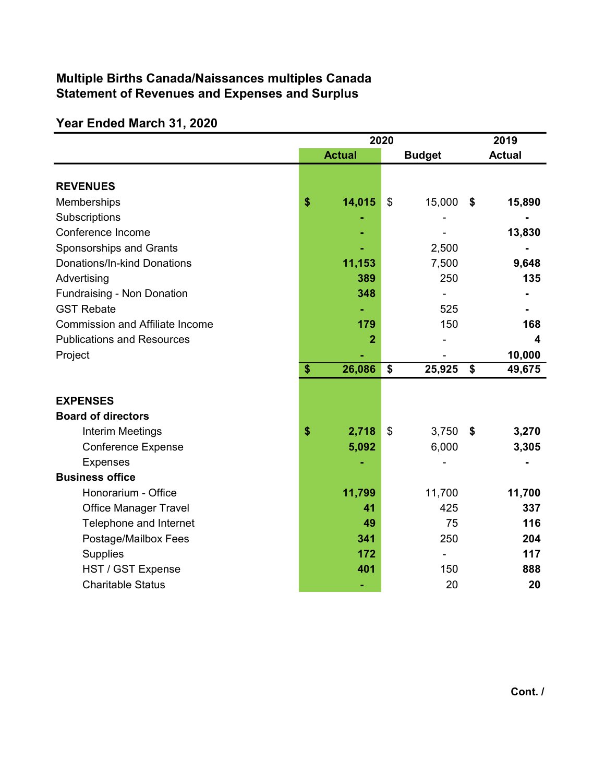### Multiple Births Canada/Naissances multiples Canada Statement of Revenues and Expenses and Surplus

# Year Ended March 31, 2020

|                                        | 2020          |    |               |    | 2019          |
|----------------------------------------|---------------|----|---------------|----|---------------|
|                                        | <b>Actual</b> |    | <b>Budget</b> |    | <b>Actual</b> |
|                                        |               |    |               |    |               |
| <b>REVENUES</b>                        |               |    |               |    |               |
| Memberships                            | \$<br>14,015  | \$ | 15,000        | \$ | 15,890        |
| Subscriptions                          |               |    |               |    |               |
| Conference Income                      |               |    |               |    | 13,830        |
| Sponsorships and Grants                |               |    | 2,500         |    |               |
| Donations/In-kind Donations            | 11,153        |    | 7,500         |    | 9,648         |
| Advertising                            | 389           |    | 250           |    | 135           |
| Fundraising - Non Donation             | 348           |    |               |    |               |
| <b>GST Rebate</b>                      |               |    | 525           |    |               |
| <b>Commission and Affiliate Income</b> | 179           |    | 150           |    | 168           |
| <b>Publications and Resources</b>      | 2             |    |               |    | 4             |
| Project                                |               |    |               |    | 10,000        |
|                                        | \$<br>26,086  | \$ | 25,925        | \$ | 49,675        |
|                                        |               |    |               |    |               |
| <b>EXPENSES</b>                        |               |    |               |    |               |
| <b>Board of directors</b>              |               |    |               |    |               |
| <b>Interim Meetings</b>                | \$<br>2,718   | \$ | 3,750         | \$ | 3,270         |
| <b>Conference Expense</b>              | 5,092         |    | 6,000         |    | 3,305         |
| <b>Expenses</b>                        |               |    |               |    |               |
| <b>Business office</b>                 |               |    |               |    |               |
| Honorarium - Office                    | 11,799        |    | 11,700        |    | 11,700        |
| <b>Office Manager Travel</b>           | 41            |    | 425           |    | 337           |
| Telephone and Internet                 | 49            |    | 75            |    | 116           |
| Postage/Mailbox Fees                   | 341           |    | 250           |    | 204           |
| <b>Supplies</b>                        | 172           |    |               |    | 117           |
| HST / GST Expense                      | 401           |    | 150           |    | 888           |
| <b>Charitable Status</b>               |               |    | 20            |    | 20            |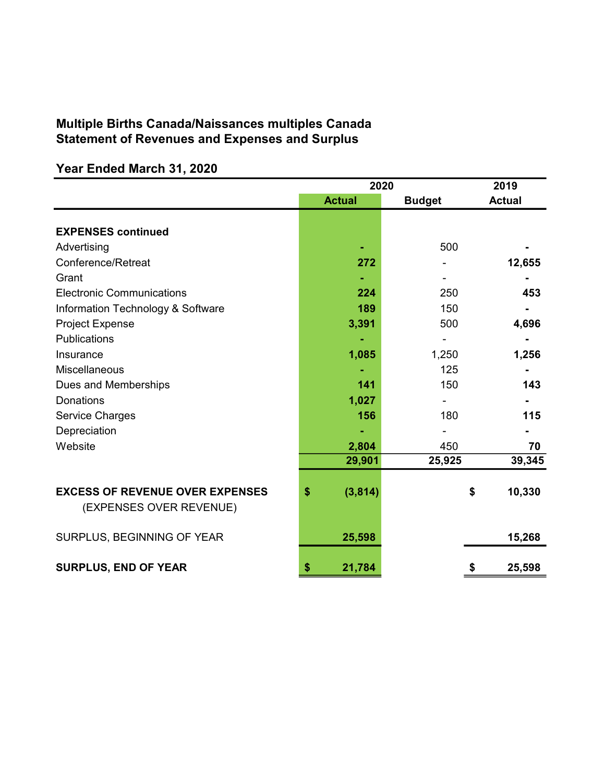#### Multiple Births Canada/Naissances multiples Canada Statement of Revenues and Expenses and Surplus

## 2019 Actual Budget Actual EXPENSES continued Advertising 500 Conference/Retreat 272 12,655 Grant - - - Electronic Communications **224** 250 **453** Information Technology & Software 189 189 150 Project Expense **3,391** 500 4,696 Publications - - - Insurance 1,085 1,250 1,256 Miscellaneous and the state of the state of the state of the state of the state of the state of the state of the state of the state of the state of the state of the state of the state of the state of the state of the state Dues and Memberships 143 Donations 1,027 - - Service Charges **156** 180 115 Depreciation and the state of the state of the state of the state of the state of the state of the state of the Website 2,804 450 70 29,901 25,925 39,345 EXCESS OF REVENUE OVER EXPENSES  $(3,814)$  \$ 10,330 (EXPENSES OVER REVENUE) SURPLUS, BEGINNING OF YEAR 15,268 SURPLUS, END OF YEAR  $\frac{1}{3}$  21,784  $\frac{1}{3}$  25,598 2020

#### Year Ended March 31, 2020